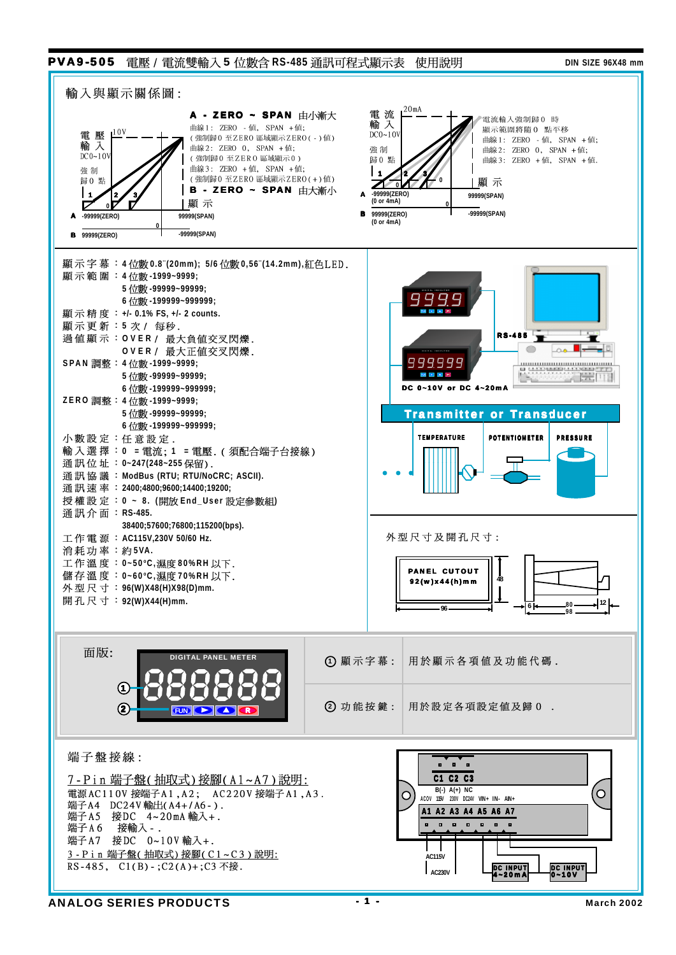## **PVA9-505** 電壓 / 電流雙輸入 5 位數含 RS-485 通訊可程式顯示表 使用說明 DIN SIZE 96X48 mm

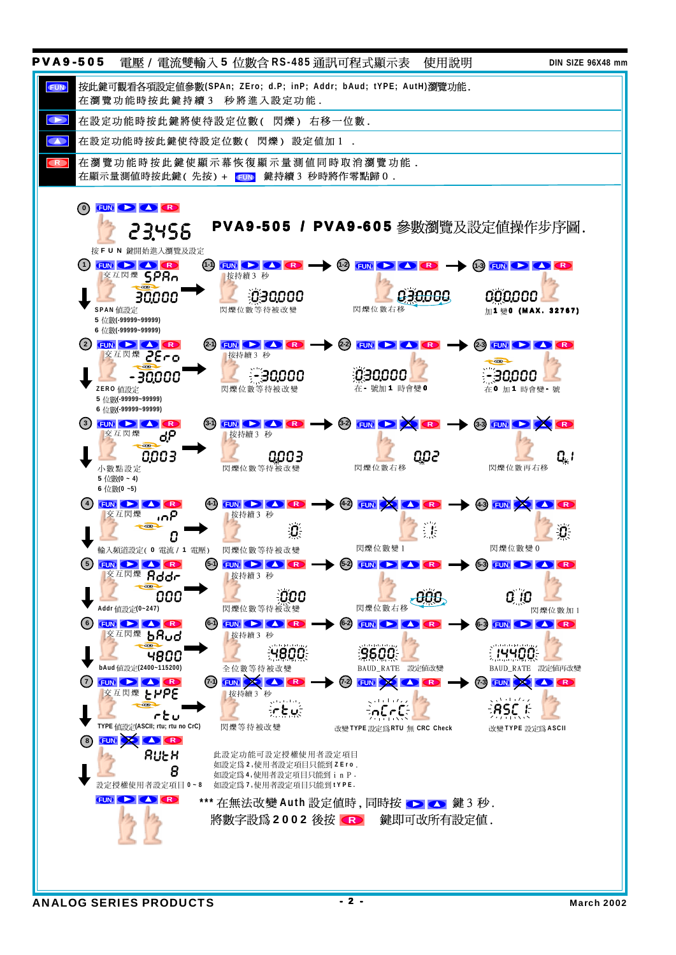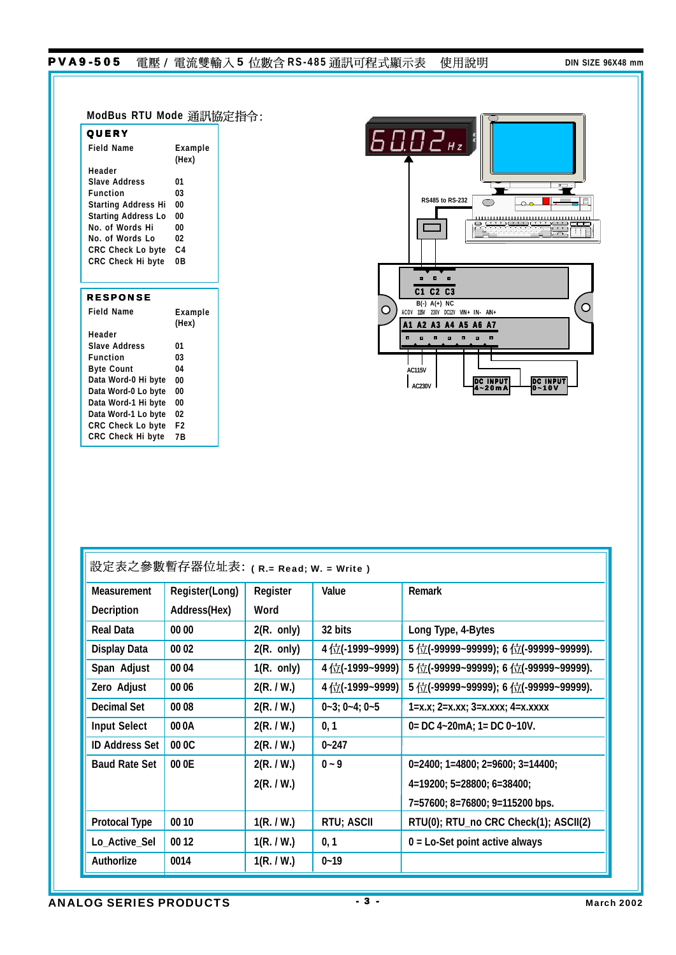## PVA9-505 電壓 / 電流雙輸入5 位數含 RS-485 通訊可程式顯示表 使用說明 DIN SIZE 96X48 mm

| <b>QUERY</b>                             | ModBus RTU Mode 通訊協定指令: |
|------------------------------------------|-------------------------|
| <b>Field Name</b>                        | Example                 |
|                                          | (Hex)                   |
| Header                                   |                         |
| <b>Slave Address</b>                     | 01                      |
| <b>Function</b>                          | 03                      |
| <b>Starting Address Hi</b>               | 00                      |
| <b>Starting Address Lo</b>               | 00                      |
| No. of Words Hi                          | 00                      |
| No. of Words Lo                          | 02                      |
| CRC Check Lo byte                        | C <sub>4</sub>          |
| CRC Check Hi byte                        | 0B                      |
| <b>RESPONSE</b><br><b>Field Name</b>     | Example<br>(Hex)        |
| Header<br><b>Slave Address</b>           | 01                      |
| <b>Function</b>                          | 03                      |
| <b>Byte Count</b>                        | 04                      |
| Data Word-0 Hi byte                      | 00                      |
| Data Word-0 Lo byte                      | 00                      |
|                                          |                         |
|                                          |                         |
| Data Word-1 Hi byte                      | 00                      |
| Data Word-1 Lo byte<br>CRC Check Lo byte | 02<br>F <sub>2</sub>    |



| 設定表之參數暫存器位址表: (R.= Read; W. = Write) |                |                      |                             |                                                                                 |  |
|--------------------------------------|----------------|----------------------|-----------------------------|---------------------------------------------------------------------------------|--|
| <b>Measurement</b>                   | Register(Long) | Register             | Value                       | Remark                                                                          |  |
| Decription                           | Address(Hex)   | Word                 |                             |                                                                                 |  |
| Real Data                            | 00 00          | $2(R. \text{ only})$ | 32 bits                     | Long Type, 4-Bytes                                                              |  |
| Display Data                         | 00 02          | $2(R. \text{ only})$ | 4位(-1999~9999)              | 5位(-99999~99999); 6位(-99999~99999).                                             |  |
| Span Adjust                          | 00 04          | $1(R. \text{ only})$ | 4位(-1999~9999)              | $5$ $\leftarrow$ (-99999~99999); 6 $\leftarrow$ (-99999~99999).                 |  |
| Zero Adjust                          | 00 06          | 2(R. / W.)           | 4位(-1999~9999)              | $5$ $\left(\frac{1}{12}$ (-99999~99999); 6 $\left(\frac{1}{12}$ (-99999~99999). |  |
| Decimal Set                          | 00 08          | 2(R. / W.)           | $0 - 3$ ; $0 - 4$ ; $0 - 5$ | $1 = x.x$ ; $2 = x.xx$ ; $3 = x.xxx$ ; $4 = x.xxxx$                             |  |
| <b>Input Select</b>                  | 000A           | 2(R. / W.)           | 0, 1                        | $0 = DC$ 4~20mA; 1= DC 0~10V.                                                   |  |
| <b>ID Address Set</b>                | 00 OC          | 2(R. / W.)           | $0 - 247$                   |                                                                                 |  |
| <b>Baud Rate Set</b>                 | 00 0E          | 2(R. / W.)           | $0 - 9$                     | $0=2400; 1=4800; 2=9600; 3=14400;$                                              |  |
|                                      |                | 2(R. / W.)           |                             | $4=19200; 5=28800; 6=38400;$                                                    |  |
|                                      |                |                      |                             | 7=57600; 8=76800; 9=115200 bps.                                                 |  |
| <b>Protocal Type</b>                 | 00 10          | 1(R. / W.)           | RTU; ASCII                  | RTU(0); RTU_no CRC Check(1); ASCII(2)                                           |  |
| Lo_Active_Sel                        | 00 12          | 1(R. / W.)           | 0, 1                        | $0 =$ Lo-Set point active always                                                |  |
| Authorlize                           | 0014           | 1(R. / W.)           | $0 - 19$                    |                                                                                 |  |

ANALOG SERIES PRODUCTS 43 - 3 - March 2002